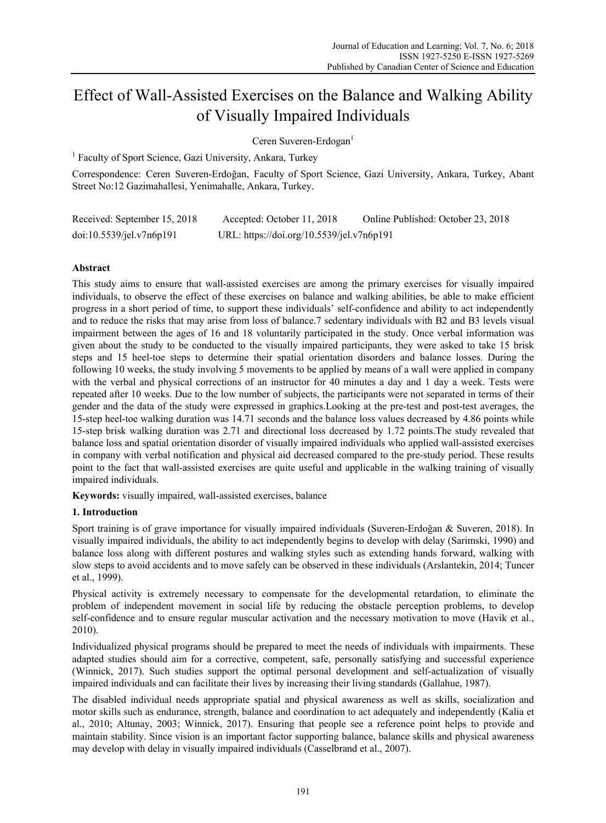# Effect of Wall-Assisted Exercises on the Balance and Walking Ability of Visually Impaired Individuals

Ceren Suveren-Erdogan<sup>1</sup>

<sup>1</sup> Faculty of Sport Science, Gazi University, Ankara, Turkey

Correspondence: Ceren Suveren-Erdoğan, Faculty of Sport Science, Gazi University, Ankara, Turkey, Abant Street No:12 Gazimahallesi, Yenimahalle, Ankara, Turkey.

| Received: September 15, 2018 | Accepted: October 11, 2018                | Online Published: October 23, 2018 |
|------------------------------|-------------------------------------------|------------------------------------|
| doi:10.5539/jel.v7n6p191     | URL: https://doi.org/10.5539/jel.v7n6p191 |                                    |

# **Abstract**

This study aims to ensure that wall-assisted exercises are among the primary exercises for visually impaired individuals, to observe the effect of these exercises on balance and walking abilities, be able to make efficient progress in a short period of time, to support these individuals' self-confidence and ability to act independently and to reduce the risks that may arise from loss of balance.7 sedentary individuals with B2 and B3 levels visual impairment between the ages of 16 and 18 voluntarily participated in the study. Once verbal information was given about the study to be conducted to the visually impaired participants, they were asked to take 15 brisk steps and 15 heel-toe steps to determine their spatial orientation disorders and balance losses. During the following 10 weeks, the study involving 5 movements to be applied by means of a wall were applied in company with the verbal and physical corrections of an instructor for 40 minutes a day and 1 day a week. Tests were repeated after 10 weeks. Due to the low number of subjects, the participants were not separated in terms of their gender and the data of the study were expressed in graphics.Looking at the pre-test and post-test averages, the 15-step heel-toe walking duration was 14.71 seconds and the balance loss values decreased by 4.86 points while 15-step brisk walking duration was 2.71 and directional loss decreased by 1.72 points.The study revealed that balance loss and spatial orientation disorder of visually impaired individuals who applied wall-assisted exercises in company with verbal notification and physical aid decreased compared to the pre-study period. These results point to the fact that wall-assisted exercises are quite useful and applicable in the walking training of visually impaired individuals.

**Keywords:** visually impaired, wall-assisted exercises, balance

# **1. Introduction**

Sport training is of grave importance for visually impaired individuals (Suveren-Erdoğan & Suveren, 2018). In visually impaired individuals, the ability to act independently begins to develop with delay (Sarimski, 1990) and balance loss along with different postures and walking styles such as extending hands forward, walking with slow steps to avoid accidents and to move safely can be observed in these individuals (Arslantekin, 2014; Tuncer et al., 1999).

Physical activity is extremely necessary to compensate for the developmental retardation, to eliminate the problem of independent movement in social life by reducing the obstacle perception problems, to develop self-confidence and to ensure regular muscular activation and the necessary motivation to move (Havik et al., 2010).

Individualized physical programs should be prepared to meet the needs of individuals with impairments. These adapted studies should aim for a corrective, competent, safe, personally satisfying and successful experience (Winnick, 2017). Such studies support the optimal personal development and self-actualization of visually impaired individuals and can facilitate their lives by increasing their living standards (Gallahue, 1987).

The disabled individual needs appropriate spatial and physical awareness as well as skills, socialization and motor skills such as endurance, strength, balance and coordination to act adequately and independently (Kalia et al., 2010; Altunay, 2003; Winnick, 2017). Ensuring that people see a reference point helps to provide and maintain stability. Since vision is an important factor supporting balance, balance skills and physical awareness may develop with delay in visually impaired individuals (Casselbrand et al., 2007).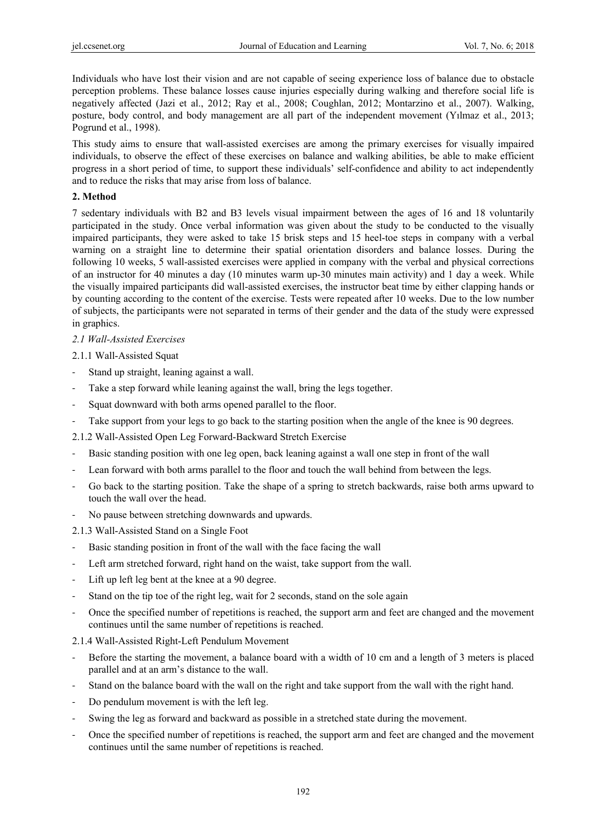Individuals who have lost their vision and are not capable of seeing experience loss of balance due to obstacle perception problems. These balance losses cause injuries especially during walking and therefore social life is negatively affected (Jazi et al., 2012; Ray et al., 2008; Coughlan, 2012; Montarzino et al., 2007). Walking, posture, body control, and body management are all part of the independent movement (Yılmaz et al., 2013; Pogrund et al., 1998).

This study aims to ensure that wall-assisted exercises are among the primary exercises for visually impaired individuals, to observe the effect of these exercises on balance and walking abilities, be able to make efficient progress in a short period of time, to support these individuals' self-confidence and ability to act independently and to reduce the risks that may arise from loss of balance.

## **2. Method**

7 sedentary individuals with B2 and B3 levels visual impairment between the ages of 16 and 18 voluntarily participated in the study. Once verbal information was given about the study to be conducted to the visually impaired participants, they were asked to take 15 brisk steps and 15 heel-toe steps in company with a verbal warning on a straight line to determine their spatial orientation disorders and balance losses. During the following 10 weeks, 5 wall-assisted exercises were applied in company with the verbal and physical corrections of an instructor for 40 minutes a day (10 minutes warm up-30 minutes main activity) and 1 day a week. While the visually impaired participants did wall-assisted exercises, the instructor beat time by either clapping hands or by counting according to the content of the exercise. Tests were repeated after 10 weeks. Due to the low number of subjects, the participants were not separated in terms of their gender and the data of the study were expressed in graphics.

# *2.1 Wall-Assisted Exercises*

## 2.1.1 Wall-Assisted Squat

- Stand up straight, leaning against a wall.
- Take a step forward while leaning against the wall, bring the legs together.
- Squat downward with both arms opened parallel to the floor.
- Take support from your legs to go back to the starting position when the angle of the knee is 90 degrees.
- 2.1.2 Wall-Assisted Open Leg Forward-Backward Stretch Exercise
- Basic standing position with one leg open, back leaning against a wall one step in front of the wall
- Lean forward with both arms parallel to the floor and touch the wall behind from between the legs.
- Go back to the starting position. Take the shape of a spring to stretch backwards, raise both arms upward to touch the wall over the head.
- No pause between stretching downwards and upwards.
- 2.1.3 Wall-Assisted Stand on a Single Foot
- Basic standing position in front of the wall with the face facing the wall
- Left arm stretched forward, right hand on the waist, take support from the wall.
- Lift up left leg bent at the knee at a 90 degree.
- Stand on the tip toe of the right leg, wait for 2 seconds, stand on the sole again
- Once the specified number of repetitions is reached, the support arm and feet are changed and the movement continues until the same number of repetitions is reached.
- 2.1.4 Wall-Assisted Right-Left Pendulum Movement
- Before the starting the movement, a balance board with a width of 10 cm and a length of 3 meters is placed parallel and at an arm's distance to the wall.
- Stand on the balance board with the wall on the right and take support from the wall with the right hand.
- Do pendulum movement is with the left leg.
- Swing the leg as forward and backward as possible in a stretched state during the movement.
- Once the specified number of repetitions is reached, the support arm and feet are changed and the movement continues until the same number of repetitions is reached.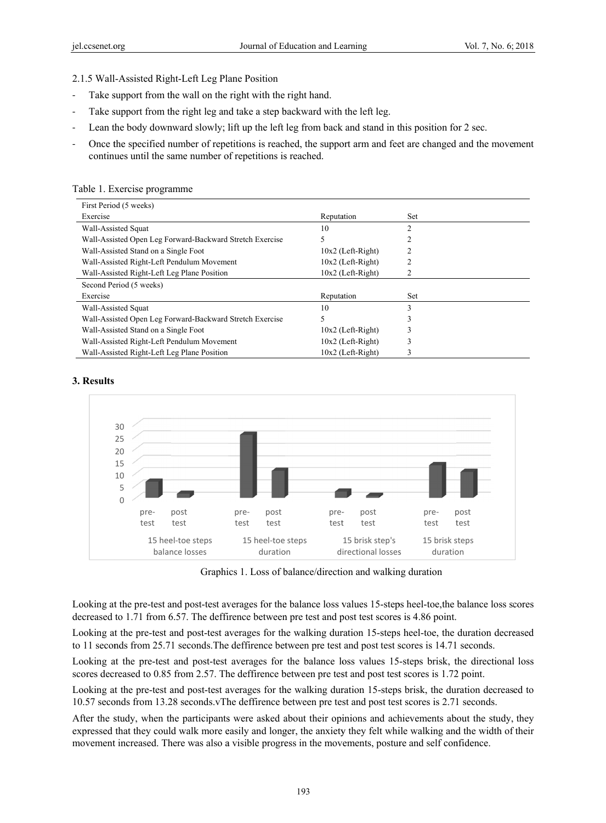2.1.5 Wall-Assisted Right-Left Leg Plane Position

- Take support from the wall on the right with the right hand.
- Take support from the right leg and take a step backward with the left leg.
- Lean the body downward slowly; lift up the left leg from back and stand in this position for 2 sec.
- Once the specified number of repetitions is reached, the support arm and feet are changed and the movement continues until the same number of repetitions is reached.

Table 1. E Exercise progra amme

| First Period (5 weeks)                                   |                     |                |  |  |
|----------------------------------------------------------|---------------------|----------------|--|--|
| Exercise                                                 | Reputation          | Set            |  |  |
| Wall-Assisted Squat                                      | 10                  | $\mathfrak{D}$ |  |  |
| Wall-Assisted Open Leg Forward-Backward Stretch Exercise | 5                   |                |  |  |
| Wall-Assisted Stand on a Single Foot                     | $10x2$ (Left-Right) |                |  |  |
| Wall-Assisted Right-Left Pendulum Movement               | $10x2$ (Left-Right) |                |  |  |
| Wall-Assisted Right-Left Leg Plane Position              | $10x2$ (Left-Right) |                |  |  |
| Second Period (5 weeks)                                  |                     |                |  |  |
| Exercise                                                 | Reputation          | Set            |  |  |
| Wall-Assisted Squat                                      | 10                  | 3              |  |  |
| Wall-Assisted Open Leg Forward-Backward Stretch Exercise | 5                   |                |  |  |
| Wall-Assisted Stand on a Single Foot                     | $10x2$ (Left-Right) |                |  |  |
| Wall-Assisted Right-Left Pendulum Movement               | $10x2$ (Left-Right) |                |  |  |
| Wall-Assisted Right-Left Leg Plane Position              | $10x2$ (Left-Right) |                |  |  |

#### **3. Results**



Graphics 1. Loss of balance/direction and walking duration

Looking at the pre-test and post-test averages for the balance loss values 15-steps heel-toe, the balance loss scores decreased to 1.71 from 6.57. The deffirence between pre test and post test scores is 4.86 point.

Looking at the pre-test and post-test averages for the walking duration 15-steps heel-toe, the duration decreased to 11 seconds from 25.71 seconds. The deffirence between pre test and post test scores is 14.71 seconds.

Looking at the pre-test and post-test averages for the balance loss values 15-steps brisk, the directional loss scores decreased to 0.85 from 2.57. The deffirence between pre test and post test scores is 1.72 point.

Looking at the pre-test and post-test averages for the walking duration 15-steps brisk, the duration decreased to 10.57 seconds from 13.28 seconds. The deffirence between pre test and post test scores is 2.71 seconds.

After the study, when the participants were asked about their opinions and achievements about the study, they expressed that they could walk more easily and longer, the anxiety they felt while walking and the width of their movement increased. There was also a visible progress in the movements, posture and self confidence.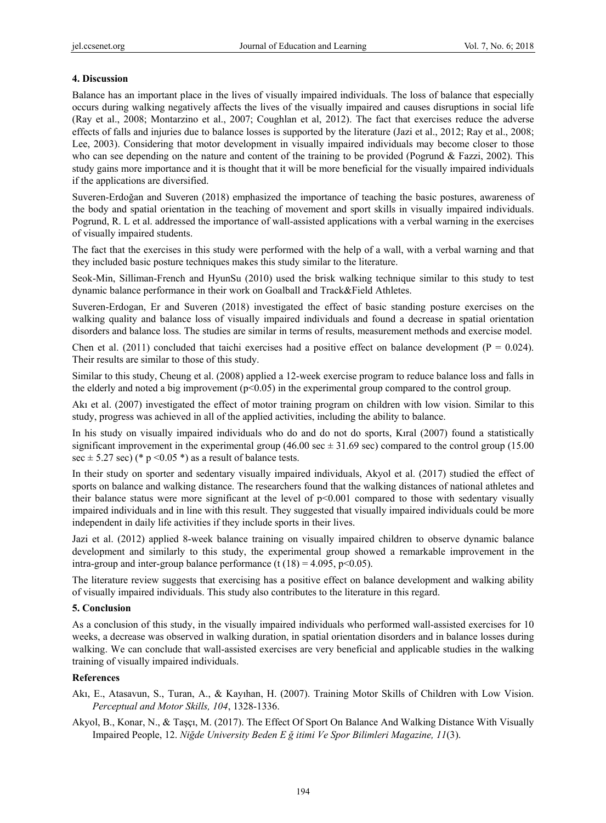## **4. Discussion**

Balance has an important place in the lives of visually impaired individuals. The loss of balance that especially occurs during walking negatively affects the lives of the visually impaired and causes disruptions in social life (Ray et al., 2008; Montarzino et al., 2007; Coughlan et al, 2012). The fact that exercises reduce the adverse effects of falls and injuries due to balance losses is supported by the literature (Jazi et al., 2012; Ray et al., 2008; Lee, 2003). Considering that motor development in visually impaired individuals may become closer to those who can see depending on the nature and content of the training to be provided (Pogrund & Fazzi, 2002). This study gains more importance and it is thought that it will be more beneficial for the visually impaired individuals if the applications are diversified.

Suveren-Erdoğan and Suveren (2018) emphasized the importance of teaching the basic postures, awareness of the body and spatial orientation in the teaching of movement and sport skills in visually impaired individuals. Pogrund, R. L et al. addressed the importance of wall-assisted applications with a verbal warning in the exercises of visually impaired students.

The fact that the exercises in this study were performed with the help of a wall, with a verbal warning and that they included basic posture techniques makes this study similar to the literature.

Seok-Min, Silliman-French and HyunSu (2010) used the brisk walking technique similar to this study to test dynamic balance performance in their work on Goalball and Track&Field Athletes.

Suveren-Erdogan, Er and Suveren (2018) investigated the effect of basic standing posture exercises on the walking quality and balance loss of visually impaired individuals and found a decrease in spatial orientation disorders and balance loss. The studies are similar in terms of results, measurement methods and exercise model.

Chen et al. (2011) concluded that taichi exercises had a positive effect on balance development ( $P = 0.024$ ). Their results are similar to those of this study.

Similar to this study, Cheung et al. (2008) applied a 12-week exercise program to reduce balance loss and falls in the elderly and noted a big improvement ( $p<0.05$ ) in the experimental group compared to the control group.

Akı et al. (2007) investigated the effect of motor training program on children with low vision. Similar to this study, progress was achieved in all of the applied activities, including the ability to balance.

In his study on visually impaired individuals who do and do not do sports, Kıral (2007) found a statistically significant improvement in the experimental group (46.00 sec  $\pm$  31.69 sec) compared to the control group (15.00 sec  $\pm$  5.27 sec) (\* p < 0.05 \*) as a result of balance tests.

In their study on sporter and sedentary visually impaired individuals, Akyol et al. (2017) studied the effect of sports on balance and walking distance. The researchers found that the walking distances of national athletes and their balance status were more significant at the level of p<0.001 compared to those with sedentary visually impaired individuals and in line with this result. They suggested that visually impaired individuals could be more independent in daily life activities if they include sports in their lives.

Jazi et al. (2012) applied 8-week balance training on visually impaired children to observe dynamic balance development and similarly to this study, the experimental group showed a remarkable improvement in the intra-group and inter-group balance performance (t  $(18) = 4.095$ , p<0.05).

The literature review suggests that exercising has a positive effect on balance development and walking ability of visually impaired individuals. This study also contributes to the literature in this regard.

#### **5. Conclusion**

As a conclusion of this study, in the visually impaired individuals who performed wall-assisted exercises for 10 weeks, a decrease was observed in walking duration, in spatial orientation disorders and in balance losses during walking. We can conclude that wall-assisted exercises are very beneficial and applicable studies in the walking training of visually impaired individuals.

#### **References**

Akı, E., Atasavun, S., Turan, A., & Kayıhan, H. (2007). Training Motor Skills of Children with Low Vision. *Perceptual and Motor Skills, 104*, 1328-1336.

Akyol, B., Konar, N., & Taşçı, M. (2017). The Effect Of Sport On Balance And Walking Distance With Visually Impaired People, 12. *Niğde University Beden E ğ itimi Ve Spor Bilimleri Magazine, 11*(3).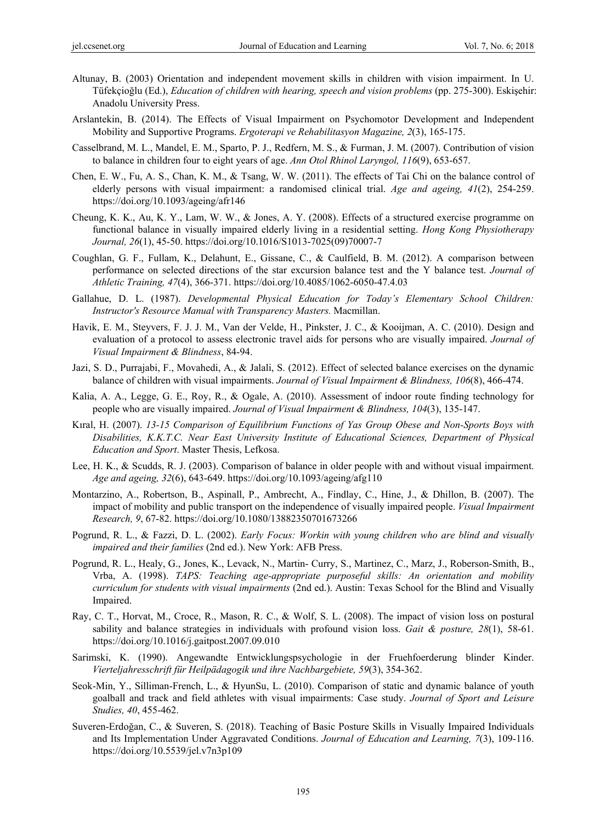- Altunay, B. (2003) Orientation and independent movement skills in children with vision impairment. In U. Tüfekçioğlu (Ed.), *Education of children with hearing, speech and vision problems* (pp. 275-300). Eskişehir: Anadolu University Press.
- Arslantekin, B. (2014). The Effects of Visual Impairment on Psychomotor Development and Independent Mobility and Supportive Programs. *Ergoterapi ve Rehabilitasyon Magazine, 2*(3), 165-175.
- Casselbrand, M. L., Mandel, E. M., Sparto, P. J., Redfern, M. S., & Furman, J. M. (2007). Contribution of vision to balance in children four to eight years of age. *Ann Otol Rhinol Laryngol, 116*(9), 653-657.
- Chen, E. W., Fu, A. S., Chan, K. M., & Tsang, W. W. (2011). The effects of Tai Chi on the balance control of elderly persons with visual impairment: a randomised clinical trial. *Age and ageing, 41*(2), 254-259. https://doi.org/10.1093/ageing/afr146
- Cheung, K. K., Au, K. Y., Lam, W. W., & Jones, A. Y. (2008). Effects of a structured exercise programme on functional balance in visually impaired elderly living in a residential setting. *Hong Kong Physiotherapy Journal, 26*(1), 45-50. https://doi.org/10.1016/S1013-7025(09)70007-7
- Coughlan, G. F., Fullam, K., Delahunt, E., Gissane, C., & Caulfield, B. M. (2012). A comparison between performance on selected directions of the star excursion balance test and the Y balance test. *Journal of Athletic Training, 47*(4), 366-371. https://doi.org/10.4085/1062-6050-47.4.03
- Gallahue, D. L. (1987). *Developmental Physical Education for Today's Elementary School Children: Instructor's Resource Manual with Transparency Masters.* Macmillan.
- Havik, E. M., Steyvers, F. J. J. M., Van der Velde, H., Pinkster, J. C., & Kooijman, A. C. (2010). Design and evaluation of a protocol to assess electronic travel aids for persons who are visually impaired. *Journal of Visual Impairment & Blindness*, 84-94.
- Jazi, S. D., Purrajabi, F., Movahedi, A., & Jalali, S. (2012). Effect of selected balance exercises on the dynamic balance of children with visual impairments. *Journal of Visual Impairment & Blindness, 106*(8), 466-474.
- Kalia, A. A., Legge, G. E., Roy, R., & Ogale, A. (2010). Assessment of indoor route finding technology for people who are visually impaired. *Journal of Visual Impairment & Blindness, 104*(3), 135-147.
- Kıral, H. (2007). *13-15 Comparison of Equilibrium Functions of Yas Group Obese and Non-Sports Boys with Disabilities, K.K.T.C. Near East University Institute of Educational Sciences, Department of Physical Education and Sport*. Master Thesis, Lefkosa.
- Lee, H. K., & Scudds, R. J. (2003). Comparison of balance in older people with and without visual impairment. *Age and ageing, 32*(6), 643-649. https://doi.org/10.1093/ageing/afg110
- Montarzino, A., Robertson, B., Aspinall, P., Ambrecht, A., Findlay, C., Hine, J., & Dhillon, B. (2007). The impact of mobility and public transport on the independence of visually impaired people. *Visual Impairment Research, 9*, 67-82. https://doi.org/10.1080/13882350701673266
- Pogrund, R. L., & Fazzi, D. L. (2002). *Early Focus: Workin with young children who are blind and visually impaired and their families* (2nd ed.). New York: AFB Press.
- Pogrund, R. L., Healy, G., Jones, K., Levack, N., Martin- Curry, S., Martinez, C., Marz, J., Roberson-Smith, B., Vrba, A. (1998). *TAPS: Teaching age-appropriate purposeful skills: An orientation and mobility curriculum for students with visual impairments* (2nd ed.). Austin: Texas School for the Blind and Visually Impaired.
- Ray, C. T., Horvat, M., Croce, R., Mason, R. C., & Wolf, S. L. (2008). The impact of vision loss on postural sability and balance strategies in individuals with profound vision loss. *Gait & posture, 28*(1), 58-61. https://doi.org/10.1016/j.gaitpost.2007.09.010
- Sarimski, K. (1990). Angewandte Entwicklungspsychologie in der Fruehfoerderung blinder Kinder. *Vierteljahresschrift für Heilpädagogik und ihre Nachbargebiete, 59*(3), 354-362.
- Seok-Min, Y., Silliman-French, L., & HyunSu, L. (2010). Comparison of static and dynamic balance of youth goalball and track and field athletes with visual impairments: Case study. *Journal of Sport and Leisure Studies, 40*, 455-462.
- Suveren-Erdoğan, C., & Suveren, S. (2018). Teaching of Basic Posture Skills in Visually Impaired Individuals and Its Implementation Under Aggravated Conditions. *Journal of Education and Learning, 7*(3), 109-116. https://doi.org/10.5539/jel.v7n3p109